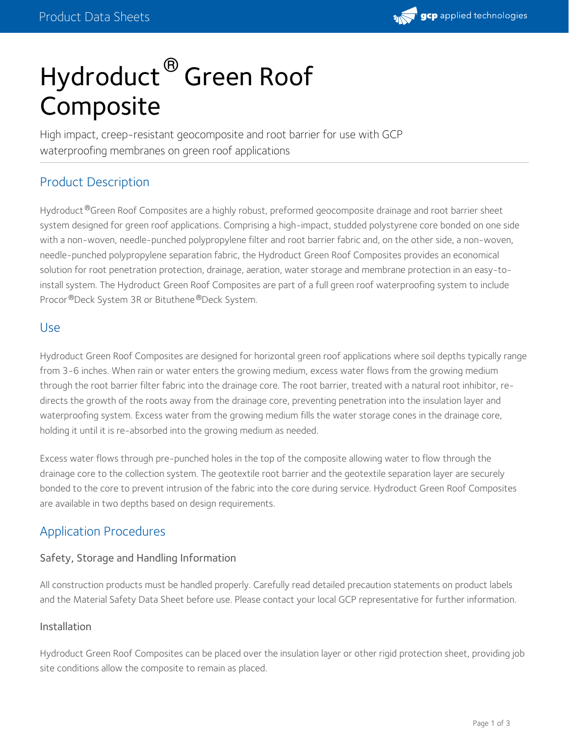

# Hydroduct  $^\circledR$  Green Roof Composite

High impact, creep-resistant geocomposite and root barrier for use with GCP waterproofing membranes on green roof applications

# Product Description

Hydroduct ®Green Roof Composites are a highly robust, preformed geocomposite drainage and root barrier sheet system designed for green roof applications. Comprising a high-impact, studded polystyrene core bonded on one side with a non-woven, needle-punched polypropylene filter and root barrier fabric and, on the other side, a non-woven, needle-punched polypropylene separation fabric, the Hydroduct Green Roof Composites provides an economical solution for root penetration protection, drainage, aeration, water storage and membrane protection in an easy-toinstall system. The Hydroduct Green Roof Composites are part of a full green roof waterproofing system to include Procor <sup>®</sup>Deck System 3R or Bituthene ®Deck System.

### Use

Hydroduct Green Roof Composites are designed for horizontal green roof applications where soil depths typically range from 3-6 inches. When rain or water enters the growing medium, excess water flows from the growing medium through the root barrier filter fabric into the drainage core. The root barrier, treated with a natural root inhibitor, re directs the growth of the roots away from the drainage core, preventing penetration into the insulation layer and waterproofing system. Excess water from the growing medium fills the water storage cones in the drainage core, holding it until it is re-absorbed into the growing medium as needed.

Excess water flows through pre-punched holes in the top of the composite allowing water to flow through the drainage core to the collection system. The geotextile root barrier and the geotextile separation layer are securely bonded to the core to prevent intrusion of the fabric into the core during service. Hydroduct Green Roof Composites are available in two depths based on design requirements.

## Application Procedures

#### Safety, Storage and Handling Information

All construction products must be handled properly. Carefully read detailed precaution statements on product labels and the Material Safety Data Sheet before use. Please contact your local GCP representative for further information.

#### Installation

Hydroduct Green Roof Composites can be placed over the insulation layer or other rigid protection sheet, providing job site conditions allow the composite to remain as placed.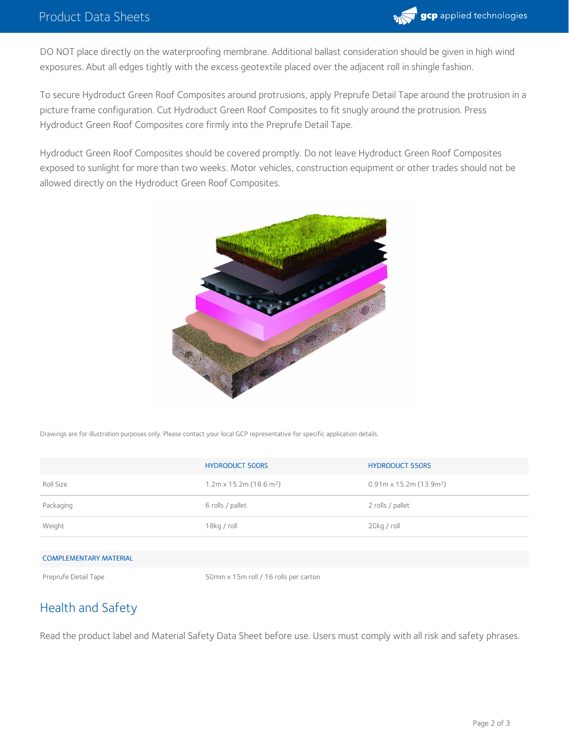

DO NOT place directly on the waterproofing membrane. Additional ballast consideration should be given in high wind exposures. Abut all edges tightly with the excess geotextile placed over the adjacent roll in shingle fashion.

To secure Hydroduct Green Roof Composites around protrusions, apply Preprufe Detail Tape around the protrusion in a picture frame configuration. Cut Hydroduct Green Roof Composites to fit snugly around the protrusion. Press Hydroduct Green Roof Composites core firmly into the Preprufe Detail Tape.

Hydroduct Green Roof Composites should be covered promptly. Do not leave Hydroduct Green Roof Composites exposed to sunlight for more than two weeks. Motor vehicles, construction equipment or other trades should not be allowed directly on the Hydroduct Green Roof Composites.



Drawings are for illustration purposes only. Please contact your local GCP representative for specific application details.

|                               | <b>HYDRODUCT 500RS</b>                 | <b>HYDRODUCT 550RS</b>                 |  |
|-------------------------------|----------------------------------------|----------------------------------------|--|
| Roll Size                     | $1.2$ m x 15.2m (18.6 m <sup>2</sup> ) | $0.91$ m x 15.2m (13.9m <sup>2</sup> ) |  |
| Packaging                     | 6 rolls / pallet                       | 2 rolls / pallet                       |  |
| Weight                        | $18$ kg / roll                         | 20kg / roll                            |  |
|                               |                                        |                                        |  |
| <b>COMPLEMENTARY MATERIAL</b> |                                        |                                        |  |
| Preprufe Detail Tape          | 50mm x 15m roll / 16 rolls per carton  |                                        |  |

## Health and Safety

Read the product label and Material Safety Data Sheet before use. Users must comply with all risk and safety phrases.